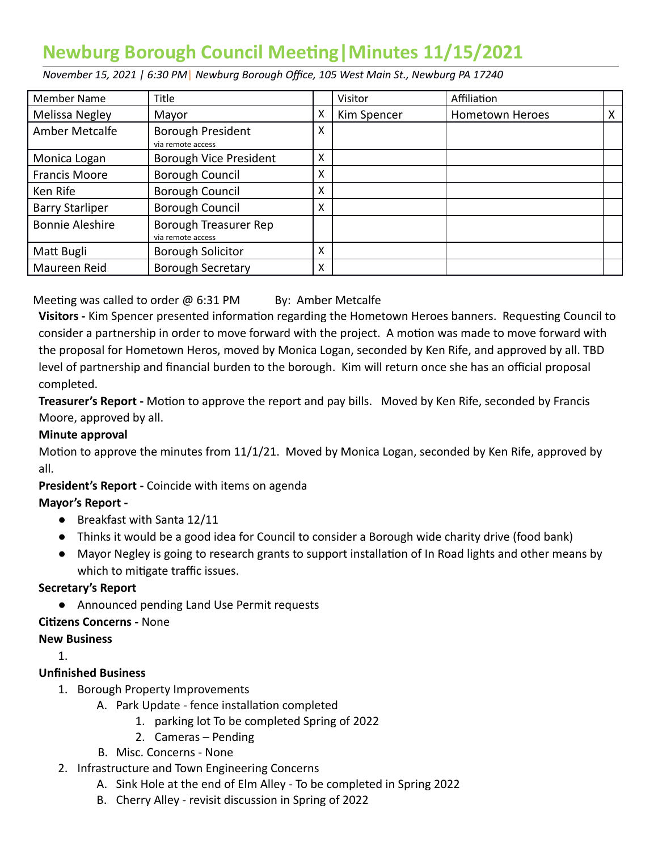# **Newburg Borough Council Meeting | Minutes 11/15/2021**

 *November 15, 2021 | 6:30 PM* | *Newburg Borough Office, 105 West Main St., Newburg PA 17240* 

| <b>Member Name</b>     | Title                                         |   | Visitor     | Affiliation            |   |
|------------------------|-----------------------------------------------|---|-------------|------------------------|---|
| Melissa Negley         | Mayor                                         | х | Kim Spencer | <b>Hometown Heroes</b> | X |
| Amber Metcalfe         | <b>Borough President</b><br>via remote access | X |             |                        |   |
| Monica Logan           | Borough Vice President                        | X |             |                        |   |
| <b>Francis Moore</b>   | <b>Borough Council</b>                        | x |             |                        |   |
| Ken Rife               | <b>Borough Council</b>                        | X |             |                        |   |
| <b>Barry Starliper</b> | Borough Council                               | X |             |                        |   |
| <b>Bonnie Aleshire</b> | Borough Treasurer Rep<br>via remote access    |   |             |                        |   |
| Matt Bugli             | <b>Borough Solicitor</b>                      | X |             |                        |   |
| Maureen Reid           | <b>Borough Secretary</b>                      | X |             |                        |   |

Meeting was called to order  $\omega$  6:31 PM By: Amber Metcalfe

Visitors - Kim Spencer presented information regarding the Hometown Heroes banners. Requesting Council to consider a partnership in order to move forward with the project. A motion was made to move forward with the proposal for Hometown Heros, moved by Monica Logan, seconded by Ken Rife, and approved by all. TBD level of partnership and financial burden to the borough. Kim will return once she has an official proposal completed.

**Treasurer's Report -** Motion to approve the report and pay bills. Moved by Ken Rife, seconded by Francis Moore, approved by all.

#### **Minute approval**

Motion to approve the minutes from 11/1/21. Moved by Monica Logan, seconded by Ken Rife, approved by all.

 **President's Report -** Coincide with items on agenda

#### **Mayor's Report -**

- Breakfast with Santa 12/11
- Thinks it would be a good idea for Council to consider a Borough wide charity drive (food bank)
- Mayor Negley is going to research grants to support installation of In Road lights and other means by which to mitigate traffic issues.

#### **Secretary's Report**

● Announced pending Land Use Permit requests

#### **Cizens Concerns -** None

#### **New Business**

1.

## **Unfinished Business**

- 1. Borough Property Improvements
	- A. Park Update fence installation completed
		- 1. parking lot To be completed Spring of 2022
		- 2. Cameras Pending
	- B. Misc. Concerns None
- 2. Infrastructure and Town Engineering Concerns
	- A. Sink Hole at the end of Elm Alley To be completed in Spring 2022
	- B. Cherry Alley revisit discussion in Spring of 2022